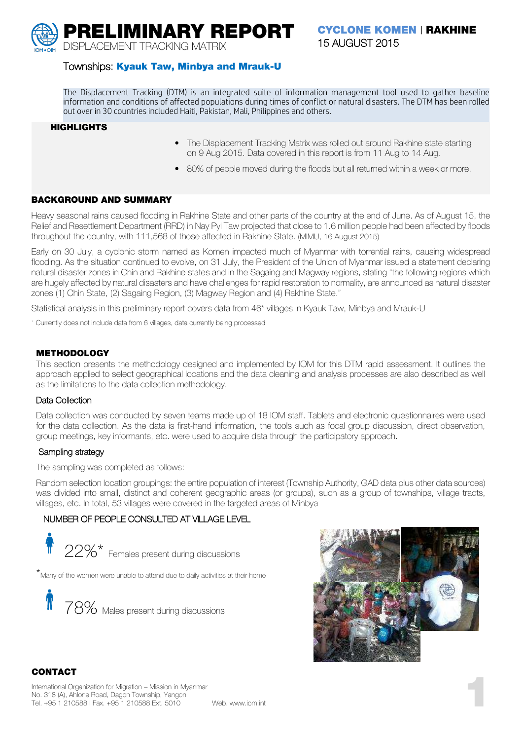**PRELIMINARY REPORT** DISPLACEMENT TRACKING MATRIX

**CYCLONE KOMEN** | **RAKHINE** 15 AUGUST 2015

### Townships: **Kyauk Taw, Minbya and Mrauk-U**

The Displacement Tracking (DTM) is an integrated suite of information management tool used to gather baseline information and conditions of affected populations during times of conflict or natural disasters. The DTM has been rolled out over in 30 countries included Haiti, Pakistan, Mali, Philippines and others.

#### **HIGHLIGHTS**

- The Displacement Tracking Matrix was rolled out around Rakhine state starting on 9 Aug 2015. Data covered in this report is from 11 Aug to 14 Aug.
- 80% of people moved during the floods but all returned within a week or more.

#### **BACKGROUND AND SUMMARY**

Heavy seasonal rains caused flooding in Rakhine State and other parts of the country at the end of June. As of August 15, the Relief and Resettlement Department (RRD) in Nay Pyi Taw projected that close to 1.6 million people had been affected by floods throughout the country, with 111,568 of those affected in Rakhine State. (MIMU, 16 August 2015)

Early on 30 July, a cyclonic storm named as Komen impacted much of Myanmar with torrential rains, causing widespread flooding. As the situation continued to evolve, on 31 July, the President of the Union of Myanmar issued a statement declaring natural disaster zones in Chin and Rakhine states and in the Sagaing and Magway regions, stating "the following regions which are hugely affected by natural disasters and have challenges for rapid restoration to normality, are announced as natural disaster zones (1) Chin State, (2) Sagaing Region, (3) Magway Region and (4) Rakhine State."

Statistical analysis in this preliminary report covers data from 46\* villages in Kyauk Taw, Minbya and Mrauk-U

\* Currently does not include data from 6 villages, data currently being processed

#### **METHODOLOGY**

This section presents the methodology designed and implemented by IOM for this DTM rapid assessment. It outlines the approach applied to select geographical locations and the data cleaning and analysis processes are also described as well as the limitations to the data collection methodology.

#### Data Collection

Data collection was conducted by seven teams made up of 18 IOM staff. Tablets and electronic questionnaires were used for the data collection. As the data is first-hand information, the tools such as focal group discussion, direct observation, group meetings, key informants, etc. were used to acquire data through the participatory approach.

#### Sampling strategy

The sampling was completed as follows:

Random selection location groupings: the entire population of interest (Township Authority, GAD data plus other data sources) was divided into small, distinct and coherent geographic areas (or groups), such as a group of townships, village tracts, villages, etc. In total, 53 villages were covered in the targeted areas of Minbya

# NUMBER OF PEOPLE CONSULTED AT VILLAGE LEVEL

 $22\%^{\star}$  Females present during discussions

\*Many of the women were unable to attend due to daily activities at their home





### **CONTACT**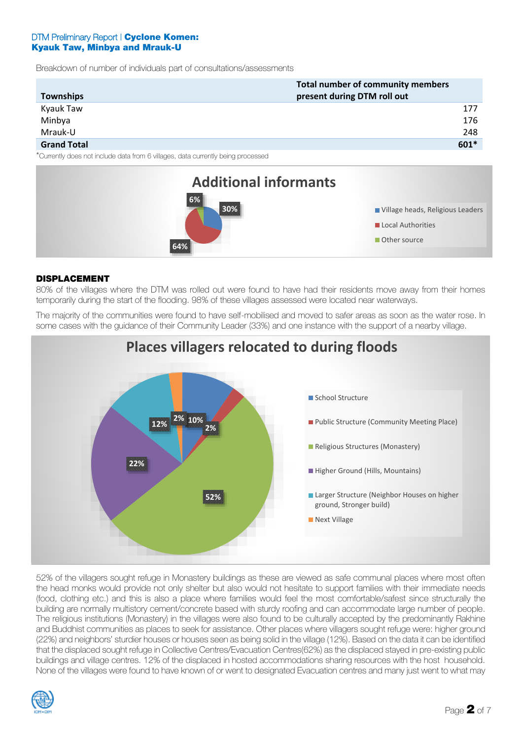Breakdown of number of individuals part of consultations/assessments

| Total number of community members                                                |                             |      |  |
|----------------------------------------------------------------------------------|-----------------------------|------|--|
| Townships                                                                        | present during DTM roll out |      |  |
| Kyauk Taw                                                                        |                             | 177  |  |
| Minbya                                                                           |                             | 176  |  |
| Mrauk-U                                                                          |                             | 248  |  |
| <b>Grand Total</b>                                                               |                             | 601* |  |
| *Currently does not include data from 6 villages, data ourrently being processed |                             |      |  |

from 6 villages, data currently being processed



### **DISPLACEMENT**

80% of the villages where the DTM was rolled out were found to have had their residents move away from their homes temporarily during the start of the flooding. 98% of these villages assessed were located near waterways.

The majority of the communities were found to have self-mobilised and moved to safer areas as soon as the water rose. In some cases with the guidance of their Community Leader (33%) and one instance with the support of a nearby village.



**Places villagers relocated to during floods**

52% of the villagers sought refuge in Monastery buildings as these are viewed as safe communal places where most often the head monks would provide not only shelter but also would not hesitate to support families with their immediate needs (food, clothing etc.) and this is also a place where families would feel the most comfortable/safest since structurally the building are normally multistory cement/concrete based with sturdy roofing and can accommodate large number of people. The religious institutions (Monastery) in the villages were also found to be culturally accepted by the predominantly Rakhine and Buddhist communities as places to seek for assistance. Other places where villagers sought refuge were: higher ground (22%) and neighbors' sturdier houses or houses seen as being solid in the village (12%). Based on the data it can be identified that the displaced sought refuge in Collective Centres/Evacuation Centres(62%) as the displaced stayed in pre-existing public buildings and village centres. 12% of the displaced in hosted accommodations sharing resources with the host household. None of the villages were found to have known of or went to designated Evacuation centres and many just went to what may

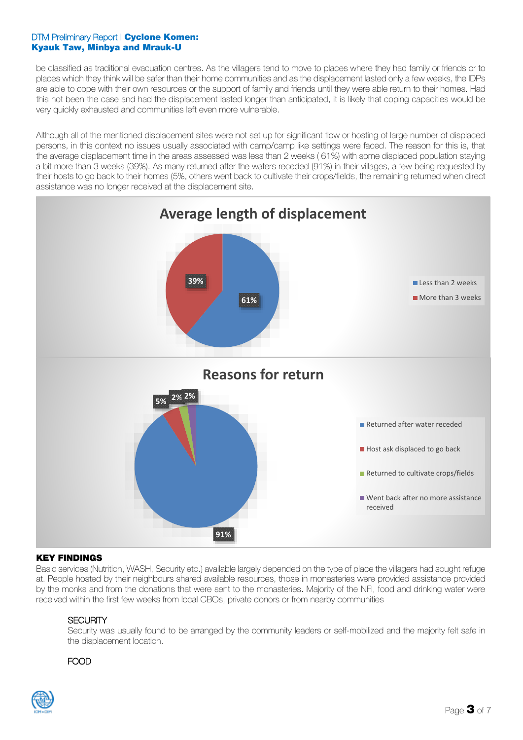be classified as traditional evacuation centres. As the villagers tend to move to places where they had family or friends or to places which they think will be safer than their home communities and as the displacement lasted only a few weeks, the IDPs are able to cope with their own resources or the support of family and friends until they were able return to their homes. Had this not been the case and had the displacement lasted longer than anticipated, it is likely that coping capacities would be very quickly exhausted and communities left even more vulnerable.

Although all of the mentioned displacement sites were not set up for significant flow or hosting of large number of displaced persons, in this context no issues usually associated with camp/camp like settings were faced. The reason for this is, that the average displacement time in the areas assessed was less than 2 weeks ( 61%) with some displaced population staying a bit more than 3 weeks (39%). As many returned after the waters receded (91%) in their villages, a few being requested by their hosts to go back to their homes (5%, others went back to cultivate their crops/fields, the remaining returned when direct assistance was no longer received at the displacement site.



### **KEY FINDINGS**

Basic services (Nutrition, WASH, Security etc.) available largely depended on the type of place the villagers had sought refuge at. People hosted by their neighbours shared available resources, those in monasteries were provided assistance provided by the monks and from the donations that were sent to the monasteries. Majority of the NFI, food and drinking water were received within the first few weeks from local CBOs, private donors or from nearby communities

### **SECURITY**

Security was usually found to be arranged by the community leaders or self-mobilized and the majority felt safe in the displacement location.

# FOOD

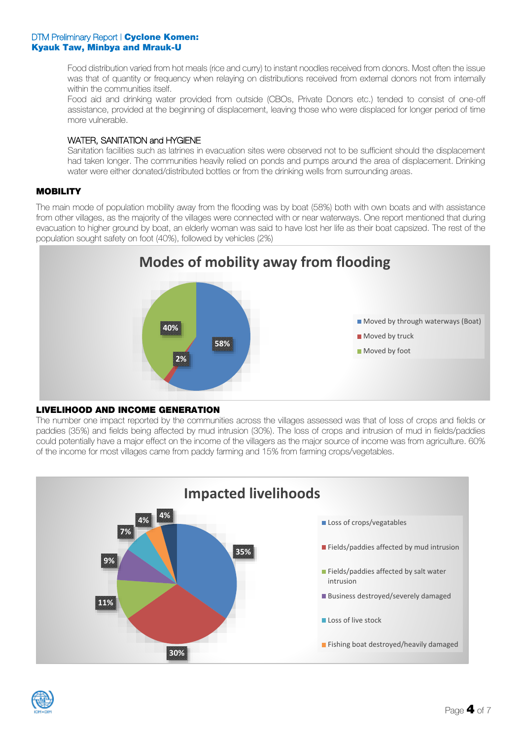Food distribution varied from hot meals (rice and curry) to instant noodles received from donors. Most often the issue was that of quantity or frequency when relaying on distributions received from external donors not from internally within the communities itself.

Food aid and drinking water provided from outside (CBOs, Private Donors etc.) tended to consist of one-off assistance, provided at the beginning of displacement, leaving those who were displaced for longer period of time more vulnerable.

# WATER, SANITATION and HYGIENE

Sanitation facilities such as latrines in evacuation sites were observed not to be sufficient should the displacement had taken longer. The communities heavily relied on ponds and pumps around the area of displacement. Drinking water were either donated/distributed bottles or from the drinking wells from surrounding areas.

# **MOBILITY**

The main mode of population mobility away from the flooding was by boat (58%) both with own boats and with assistance from other villages, as the majority of the villages were connected with or near waterways. One report mentioned that during evacuation to higher ground by boat, an elderly woman was said to have lost her life as their boat capsized. The rest of the population sought safety on foot (40%), followed by vehicles (2%)



# **LIVELIHOOD AND INCOME GENERATION**

The number one impact reported by the communities across the villages assessed was that of loss of crops and fields or paddies (35%) and fields being affected by mud intrusion (30%). The loss of crops and intrusion of mud in fields/paddies could potentially have a major effect on the income of the villagers as the major source of income was from agriculture. 60% of the income for most villages came from paddy farming and 15% from farming crops/vegetables.



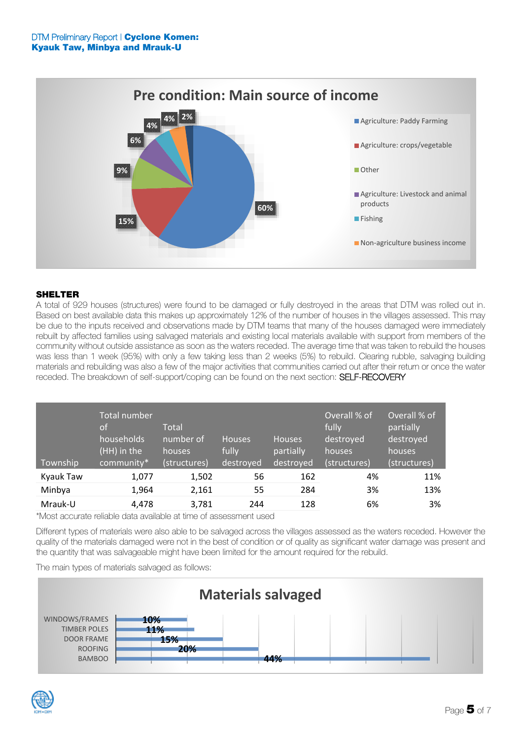

# **SHELTER**

A total of 929 houses (structures) were found to be damaged or fully destroyed in the areas that DTM was rolled out in. Based on best available data this makes up approximately 12% of the number of houses in the villages assessed. This may be due to the inputs received and observations made by DTM teams that many of the houses damaged were immediately rebuilt by affected families using salvaged materials and existing local materials available with support from members of the community without outside assistance as soon as the waters receded. The average time that was taken to rebuild the houses was less than 1 week (95%) with only a few taking less than 2 weeks (5%) to rebuild. Clearing rubble, salvaging building materials and rebuilding was also a few of the major activities that communities carried out after their return or once the water receded. The breakdown of self-support/coping can be found on the next section: **SELF-RECOVERY** 

| Township  | Total number<br><b>of</b><br>households<br>(HH) in the<br>community* | Total<br>number of<br>houses<br>(structures) | <b>Houses</b><br>fully<br>destroyed | <b>Houses</b><br>partially<br>destroyed | Overall % of<br>fully<br>destroyed<br>houses.<br>(structures) | Overall % of<br>partially<br>destroyed<br>houses<br>(structures) |
|-----------|----------------------------------------------------------------------|----------------------------------------------|-------------------------------------|-----------------------------------------|---------------------------------------------------------------|------------------------------------------------------------------|
| Kyauk Taw | 1,077                                                                | 1,502                                        | 56                                  | 162                                     | 4%                                                            | 11%                                                              |
| Minbya    | 1,964                                                                | 2,161                                        | 55                                  | 284                                     | 3%                                                            | 13%                                                              |
| Mrauk-U   | 4,478                                                                | 3,781                                        | 244                                 | 128                                     | 6%                                                            | 3%                                                               |

\*Most accurate reliable data available at time of assessment used

Different types of materials were also able to be salvaged across the villages assessed as the waters receded. However the quality of the materials damaged were not in the best of condition or of quality as significant water damage was present and the quantity that was salvageable might have been limited for the amount required for the rebuild.

The main types of materials salvaged as follows:



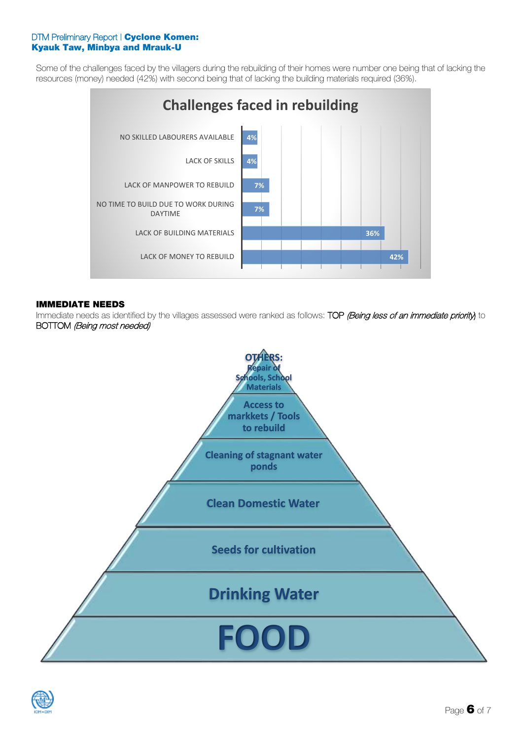Some of the challenges faced by the villagers during the rebuilding of their homes were number one being that of lacking the resources (money) needed (42%) with second being that of lacking the building materials required (36%).



#### **IMMEDIATE NEEDS**

Immediate needs as identified by the villages assessed were ranked as follows: TOP (Being less of an immediate priority) to BOTTOM (Being most needed)